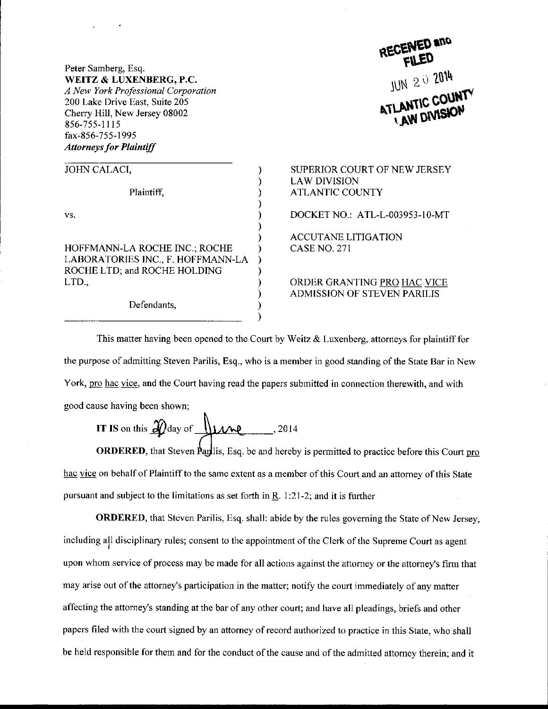Peter Samberg, Esq. WEITZ & LUXENBERG, P.C. A New York Professional Corporation 200 Lake Drive East, Suite 205 Cherry Hill, New Jersey 08002 856-755-11 l5 fax-856-755-1995 Attorneys for Plaintiff

| JOHN CALACI,                                                                                                |  |
|-------------------------------------------------------------------------------------------------------------|--|
| Plaintiff,                                                                                                  |  |
| VS.                                                                                                         |  |
| HOFFMANN-LA ROCHE INC.; ROCHE<br>LABORATORIES INC., F. HOFFMANN-LA<br>ROCHE LTD; and ROCHE HOLDING<br>LTD., |  |
| Defendants,                                                                                                 |  |

Defendants,

## **LED** *uuo* JUN 2 0 2014

SUPERIOR COURT OF NEW JERSEY LAW DIVISION ATLANTIC COUNTY

DOCKET NO.: ATL-L-003953-l 0-MT

ACCUTANE LITIGATION CASE NO. 271

ORDER GRANTING PRO HAC VICE ADMISSION OF STEVEN PARILIS

This matter having been opened to the Court by Weitz & Luxenberg, attorneys for plaintiff for the purpose of admitting Steven Parilis, Esq., who is a member in good standing ofthe State Bar in New York, pro hac vice, and the Court having read the papers submitted in connection therewith, and with good cause having been shown;

Ì

**IT IS on this** 
$$
\mathcal{D}
$$
 day of **line**, 2014

ORDERED, that Steven Paplis, Esq. be and hereby is permitted to practice before this Court pro hac vice on behalf of Plaintiff to the same extent as a member of this Court and an attorney of this State pursuant and subject to the limitations as set forth in  $R$ . 1:21-2; and it is further

**ORDERED,** that Steven Parilis, Esq. shall: abide by the rules governing the State of New Jersey, including all disciplinary rules; consent to the appointment of the Clerk of the Supreme Court as agent upon whom service of process may be made for all actions against the attorney or the attorney's firm that may arise out of the attorney's participation in the matter; notify the court immediately of any matter affecting the attorney's standing at the bar of any other court; and have all pleadings, briefs and other papers filed with the court signed by an attorney of record authorized to practice in this State, who shall be held responsible for them and for the conduct of the cause and of the admitted attorney therein; and it